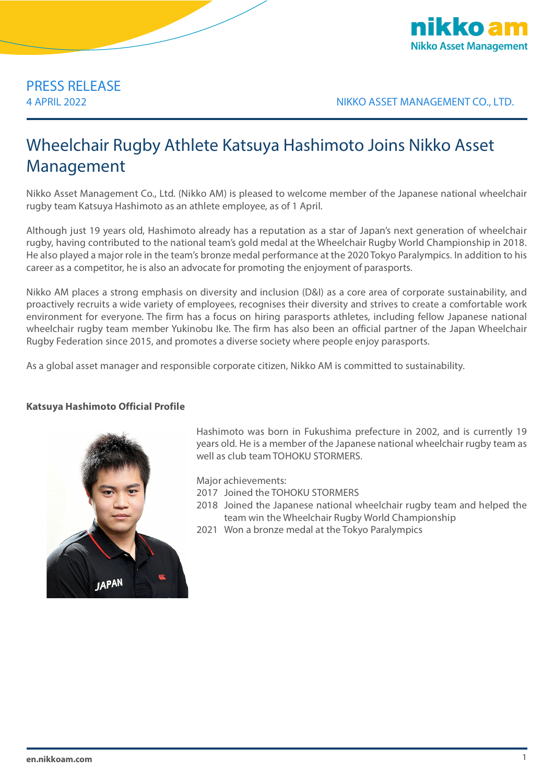

# PRESS RELEASE

4 APRIL 2022 NIKKO ASSET MANAGEMENT CO., LTD.

## Wheelchair Rugby Athlete Katsuya Hashimoto Joins Nikko Asset Management

Nikko Asset Management Co., Ltd. (Nikko AM) is pleased to welcome member of the Japanese national wheelchair rugby team Katsuya Hashimoto as an athlete employee, as of 1 April.

Although just 19 years old, Hashimoto already has a reputation as a star of Japan's next generation of wheelchair rugby, having contributed to the national team's gold medal at the Wheelchair Rugby World Championship in 2018. He also played a major role in the team's bronze medal performance at the 2020 Tokyo Paralympics. In addition to his career as a competitor, he is also an advocate for promoting the enjoyment of parasports.

Nikko AM places a strong emphasis on diversity and inclusion (D&I) as a core area of corporate sustainability, and proactively recruits a wide variety of employees, recognises their diversity and strives to create a comfortable work environment for everyone. The firm has a focus on hiring parasports athletes, including fellow Japanese national wheelchair rugby team member Yukinobu Ike. The firm has also been an official partner of the Japan Wheelchair Rugby Federation since 2015, and promotes a diverse society where people enjoy parasports.

As a global asset manager and responsible corporate citizen, Nikko AM is committed to sustainability.

### **Katsuya Hashimoto Official Profile**



Hashimoto was born in Fukushima prefecture in 2002, and is currently 19 years old. He is a member of the Japanese national wheelchair rugby team as well as club team TOHOKU STORMERS.

Major achievements:

- 2017 Joined the TOHOKU STORMERS
- 2018 Joined the Japanese national wheelchair rugby team and helped the team win the Wheelchair Rugby World Championship
- 2021 Won a bronze medal at the Tokyo Paralympics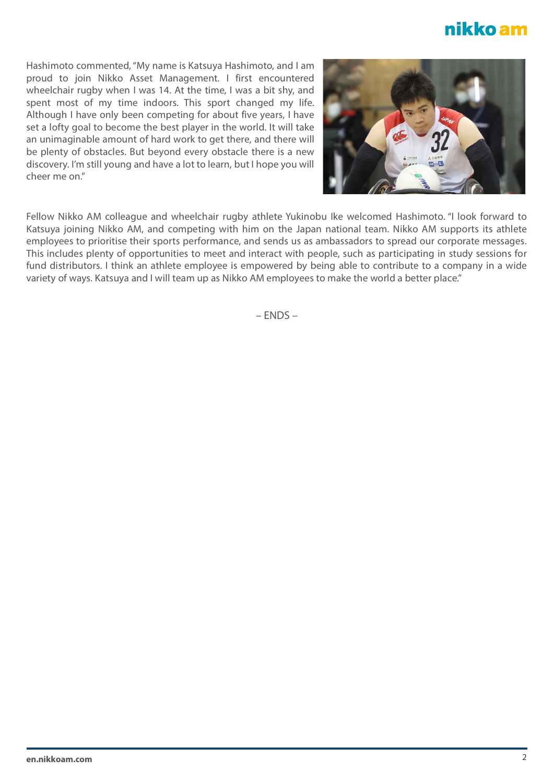### nikko am

Hashimoto commented,"My name is Katsuya Hashimoto, and I am proud to join Nikko Asset Management. I first encountered wheelchair rugby when I was 14. At the time, I was a bit shy, and spent most of my time indoors. This sport changed my life. Although I have only been competing for about five years, I have set a lofty goal to become the best player in the world. It will take an unimaginable amount of hard work to get there, and there will be plenty of obstacles. But beyond every obstacle there is a new discovery. I'm still young and have a lot to learn, but I hope you will cheer me on."



Fellow Nikko AM colleague and wheelchair rugby athlete Yukinobu Ike welcomed Hashimoto. "I look forward to Katsuya joining Nikko AM, and competing with him on the Japan national team. Nikko AM supports its athlete employees to prioritise their sports performance, and sends us as ambassadors to spread our corporate messages. This includes plenty of opportunities to meet and interact with people, such as participating in study sessions for fund distributors. I think an athlete employee is empowered by being able to contribute to a company in a wide variety of ways. Katsuya and I will team up as Nikko AM employees to make the world a better place."

 $-$  FNDS  $-$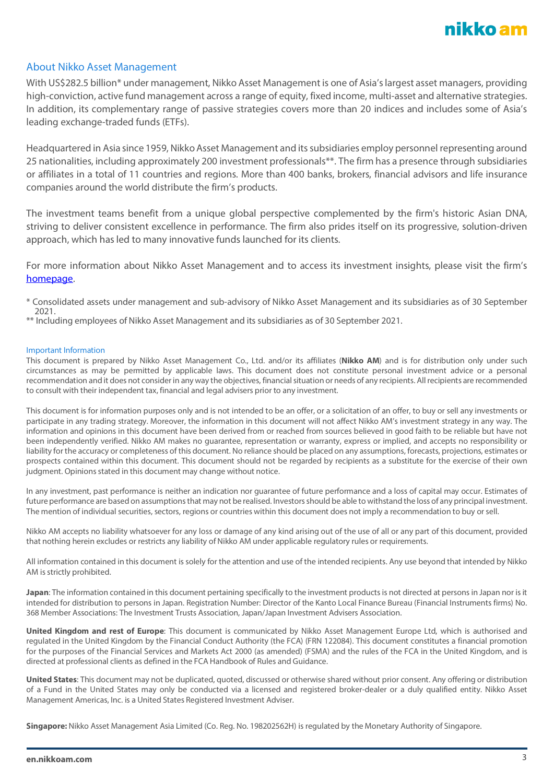

### About Nikko Asset Management

With US\$282.5 billion\* under management, Nikko Asset Management is one of Asia's largest asset managers, providing high-conviction, active fund management across a range of equity, fixed income, multi-asset and alternative strategies. In addition, its complementary range of passive strategies covers more than 20 indices and includes some of Asia's leading exchange-traded funds (ETFs).

Headquartered in Asia since 1959, Nikko Asset Management and its subsidiaries employ personnel representing around 25 nationalities, including approximately 200 investment professionals\*\*. The firm has a presence through subsidiaries or affiliates in a total of 11 countries and regions. More than 400 banks, brokers, financial advisors and life insurance companies around the world distribute the firm's products.

The investment teams benefit from a unique global perspective complemented by the firm's historic Asian DNA, striving to deliver consistent excellence in performance. The firm also prides itself on its progressive, solution-driven approach, which has led to many innovative funds launched for its clients.

For more information about Nikko Asset Management and to access its investment insights, please visit the firm's [homepage.](https://en.nikkoam.com/) 

\* Consolidated assets under management and sub-advisory of Nikko Asset Management and its subsidiaries as of 30 September 2021.

\*\* Including employees of Nikko Asset Management and its subsidiaries as of 30 September 2021.

#### Important Information

This document is prepared by Nikko Asset Management Co., Ltd. and/or its affiliates (**Nikko AM**) and is for distribution only under such circumstances as may be permitted by applicable laws. This document does not constitute personal investment advice or a personal recommendation and it does not consider in any way the objectives, financial situation or needs of any recipients. All recipients are recommended to consult with their independent tax, financial and legal advisers prior to any investment.

This document is for information purposes only and is not intended to be an offer, or a solicitation of an offer, to buy or sell any investments or participate in any trading strategy. Moreover, the information in this document will not affect Nikko AM's investment strategy in any way. The information and opinions in this document have been derived from or reached from sources believed in good faith to be reliable but have not been independently verified. Nikko AM makes no guarantee, representation or warranty, express or implied, and accepts no responsibility or liability for the accuracy or completeness of this document. No reliance should be placed on any assumptions, forecasts, projections, estimates or prospects contained within this document. This document should not be regarded by recipients as a substitute for the exercise of their own judgment. Opinions stated in this document may change without notice.

In any investment, past performance is neither an indication nor guarantee of future performance and a loss of capital may occur. Estimates of future performance are based on assumptions that may not be realised. Investors should be able to withstand the loss of any principal investment. The mention of individual securities, sectors, regions or countries within this document does not imply a recommendation to buy or sell.

Nikko AM accepts no liability whatsoever for any loss or damage of any kind arising out of the use of all or any part of this document, provided that nothing herein excludes or restricts any liability of Nikko AM under applicable regulatory rules or requirements.

All information contained in this document is solely for the attention and use of the intended recipients. Any use beyond that intended by Nikko AM is strictly prohibited.

**Japan**: The information contained in this document pertaining specifically to the investment products is not directed at persons in Japan nor is it intended for distribution to persons in Japan. Registration Number: Director of the Kanto Local Finance Bureau (Financial Instruments firms) No. 368 Member Associations: The Investment Trusts Association, Japan/Japan Investment Advisers Association.

**United Kingdom and rest of Europe**: This document is communicated by Nikko Asset Management Europe Ltd, which is authorised and regulated in the United Kingdom by the Financial Conduct Authority (the FCA) (FRN 122084). This document constitutes a financial promotion for the purposes of the Financial Services and Markets Act 2000 (as amended) (FSMA) and the rules of the FCA in the United Kingdom, and is directed at professional clients as defined in the FCA Handbook of Rules and Guidance.

**United States**: This document may not be duplicated, quoted, discussed or otherwise shared without prior consent. Any offering or distribution of a Fund in the United States may only be conducted via a licensed and registered broker-dealer or a duly qualified entity. Nikko Asset Management Americas, Inc. is a United States Registered Investment Adviser.

**Singapore:** Nikko Asset Management Asia Limited (Co. Reg. No. 198202562H) is regulated by the Monetary Authority of Singapore.